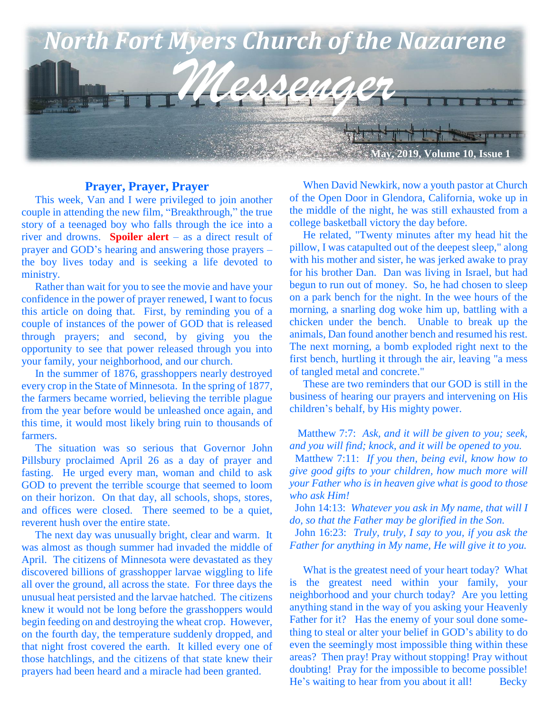

#### **Prayer, Prayer, Prayer**

 This week, Van and I were privileged to join another couple in attending the new film, "Breakthrough," the true story of a teenaged boy who falls through the ice into a river and drowns. **Spoiler alert** – as a direct result of prayer and GOD's hearing and answering those prayers – the boy lives today and is seeking a life devoted to ministry.

 Rather than wait for you to see the movie and have your confidence in the power of prayer renewed, I want to focus this article on doing that. First, by reminding you of a couple of instances of the power of GOD that is released through prayers; and second, by giving you the opportunity to see that power released through you into your family, your neighborhood, and our church.

 In the summer of 1876, grasshoppers nearly destroyed every crop in the State of Minnesota. In the spring of 1877, the farmers became worried, believing the terrible plague from the year before would be unleashed once again, and this time, it would most likely bring ruin to thousands of farmers.

 The situation was so serious that Governor John Pillsbury proclaimed April 26 as a day of prayer and fasting. He urged every man, woman and child to ask GOD to prevent the terrible scourge that seemed to loom on their horizon. On that day, all schools, shops, stores, and offices were closed. There seemed to be a quiet, reverent hush over the entire state.

 The next day was unusually bright, clear and warm. It was almost as though summer had invaded the middle of April. The citizens of Minnesota were devastated as they discovered billions of grasshopper larvae wiggling to life all over the ground, all across the state. For three days the unusual heat persisted and the larvae hatched. The citizens knew it would not be long before the grasshoppers would begin feeding on and destroying the wheat crop. However, on the fourth day, the temperature suddenly dropped, and that night frost covered the earth. It killed every one of those hatchlings, and the citizens of that state knew their prayers had been heard and a miracle had been granted.

 When David Newkirk, now a youth pastor at Church of the Open Door in Glendora, California, woke up in the middle of the night, he was still exhausted from a college basketball victory the day before.

 He related, "Twenty minutes after my head hit the pillow, I was catapulted out of the deepest sleep," along with his mother and sister, he was jerked awake to pray for his brother Dan. Dan was living in Israel, but had begun to run out of money. So, he had chosen to sleep on a park bench for the night. In the wee hours of the morning, a snarling dog woke him up, battling with a chicken under the bench. Unable to break up the animals, Dan found another bench and resumed his rest. The next morning, a bomb exploded right next to the first bench, hurtling it through the air, leaving "a mess of tangled metal and concrete."

 These are two reminders that our GOD is still in the business of hearing our prayers and intervening on His children's behalf, by His mighty power.

 Matthew 7:7: *Ask, and it will be given to you; seek, and you will find; knock, and it will be opened to you.* Matthew 7:11: *If you then, being evil, know how to* 

*give good gifts to your children, how much more will your Father who is in heaven give what is good to those who ask Him!*

 John 14:13: *Whatever you ask in My name, that will I do, so that the Father may be glorified in the Son.*

 John 16:23: *Truly, truly, I say to you, if you ask the Father for anything in My name, He will give it to you.*

 What is the greatest need of your heart today? What is the greatest need within your family, your neighborhood and your church today? Are you letting anything stand in the way of you asking your Heavenly Father for it? Has the enemy of your soul done something to steal or alter your belief in GOD's ability to do even the seemingly most impossible thing within these areas? Then pray! Pray without stopping! Pray without doubting! Pray for the impossible to become possible! He's waiting to hear from you about it all! Becky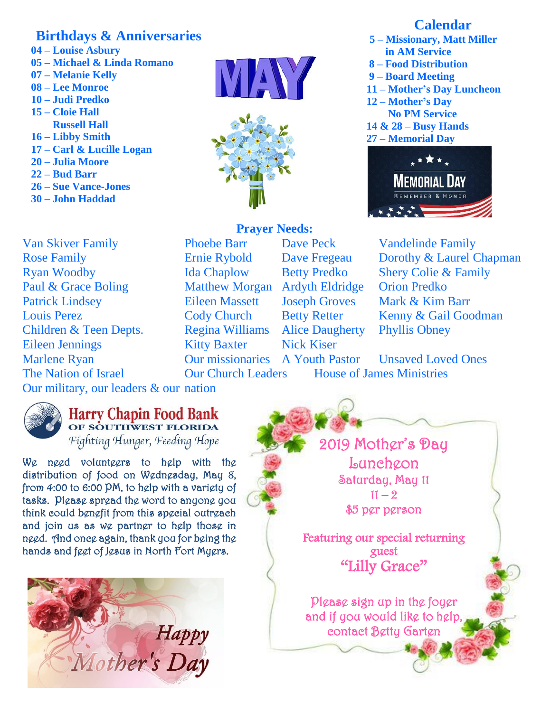## **Birthdays & Anniversaries**

- **04 – Louise Asbury**
- **05 – Michael & Linda Romano**
- **07 – Melanie Kelly**
- **08 – Lee Monroe**
- **10 – Judi Predko**
- **15 – Cloie Hall**
- **Russell Hall 16 – Libby Smith**
- **17 – Carl & Lucille Logan**
- **20 – Julia Moore**
- **22 – Bud Barr**
- **26 – Sue Vance-Jones**
- **30 – John Haddad**

Van Skiver Family Phoebe Barr Dave Peck Vandelinde Family Rose Family Ernie Rybold Dave Fregeau Dorothy & Laurel Chapman Ryan Woodby Ida Chaplow Betty Predko Shery Colie & Family Paul & Grace Boling Matthew Morgan Ardyth Eldridge Orion Predko Patrick Lindsey Eileen Massett Joseph Groves Mark & Kim Barr Louis Perez Cody Church Betty Retter Kenny & Gail Goodman Children & Teen Depts. Regina Williams Alice Daugherty Phyllis Obney Eileen Jennings **Kitty Baxter** Nick Kiser **Marlene Ryan The Nation of Israel** 





# **Prayer Needs:**

**Our Church Leaders** House of James Ministries

Our missionaries A Youth Pastor Unsaved Loved Ones

Our military, our leaders & our nation



### **Harry Chapin Food Bank** OF SOUTHWEST FLORIDA Fighting Hunger, Feeding Hope

We need volunteers to help with the distribution of food on Wednesday, May 8, from 4:00 to 6:00 PM, to help with a variety of tasks. Please spread the word to anyone you think could benefit from this special outreach and join us as we partner to help those in need. And once again, thank you for being the hands and feet of Jesus in North Fort Myers.



2019 Mother's Day Luncheon Saturday, May 11  $11 - 2$ \$5 per person

Featuring our special returning guest "Lilly Grace"

Please sign up in the foyer and if you would like to help, contact Betty Garten

### **Calendar**

- **5 – Missionary, Matt Miller in AM Service**
- **8 – Food Distribution**
- **9 – Board Meeting**
- **11 – Mother's Day Luncheon**
- **12 – Mother's Day No PM Service**
- **14 & 28 – Busy Hands**
- **27 – Memorial Day**

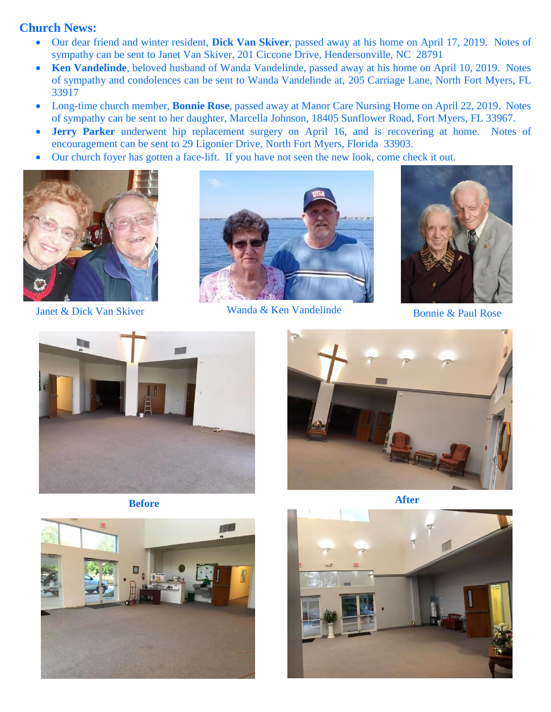### **Church News:**

- Our dear friend and winter resident, **Dick Van Skiver**, passed away at his home on April 17, 2019. Notes of sympathy can be sent to Janet Van Skiver, 201 Ciccone Drive, Hendersonville, NC 28791
- **Ken Vandelinde**, beloved husband of Wanda Vandelinde, passed away at his home on April 10, 2019. Notes of sympathy and condolences can be sent to Wanda Vandelinde at, 205 Carriage Lane, North Fort Myers, FL 33917
- Long-time church member, **Bonnie Rose**, passed away at Manor Care Nursing Home on April 22, 2019. Notes of sympathy can be sent to her daughter, Marcella Johnson, 18405 Sunflower Road, Fort Myers, FL 33967.
- **Jerry Parker** underwent hip replacement surgery on April 16, and is recovering at home. Notes of encouragement can be sent to 29 Ligonier Drive, North Fort Myers, Florida 33903.
- Our church foyer has gotten a face-lift. If you have not seen the new look, come check it out.





Janet & Dick Van Skiver Wanda & Ken Vandelinde Bonnie & Paul Rose